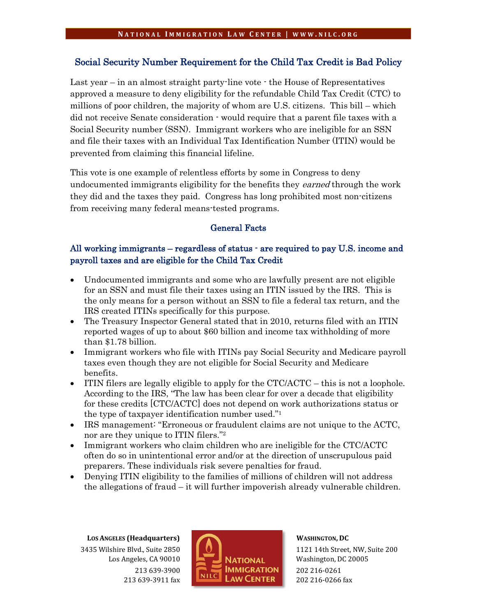# Social Security Number Requirement for the Child Tax Credit is Bad Policy

Last year – in an almost straight party-line vote - the House of Representatives approved a measure to deny eligibility for the refundable Child Tax Credit (CTC) to millions of poor children, the majority of whom are U.S. citizens. This bill – which did not receive Senate consideration - would require that a parent file taxes with a Social Security number (SSN). Immigrant workers who are ineligible for an SSN and file their taxes with an Individual Tax Identification Number (ITIN) would be prevented from claiming this financial lifeline.

This vote is one example of relentless efforts by some in Congress to deny undocumented immigrants eligibility for the benefits they *earned* through the work they did and the taxes they paid. Congress has long prohibited most non-citizens from receiving many federal means-tested programs.

# General Facts

# All working immigrants – regardless of status - are required to pay U.S. income and payroll taxes and are eligible for the Child Tax Credit

- Undocumented immigrants and some who are lawfully present are not eligible for an SSN and must file their taxes using an ITIN issued by the IRS. This is the only means for a person without an SSN to file a federal tax return, and the IRS created ITINs specifically for this purpose.
- The Treasury Inspector General stated that in 2010, returns filed with an ITIN reported wages of up to about \$60 billion and income tax withholding of more than \$1.78 billion.
- Immigrant workers who file with ITINs pay Social Security and Medicare payroll taxes even though they are not eligible for Social Security and Medicare benefits.
- $\bullet$  ITIN filers are legally eligible to apply for the CTC/ACTC this is not a loophole. According to the IRS, "The law has been clear for over a decade that eligibility for these credits [CTC/ACTC] does not depend on work authorizations status or the type of taxpayer identification number used."1
- IRS management: "Erroneous or fraudulent claims are not unique to the ACTC, nor are they unique to ITIN filers."<sup>2</sup>
- Immigrant workers who claim children who are ineligible for the CTC/ACTC often do so in unintentional error and/or at the direction of unscrupulous paid preparers. These individuals risk severe penalties for fraud.
- Denying ITIN eligibility to the families of millions of children will not address the allegations of fraud – it will further impoverish already vulnerable children.

**LOS ANGELES (Headquarters)** 3435 Wilshire Blvd., Suite 2850 Los Angeles, CA 90010 213 639-3900 213 639-3911 fax



**WASHINGTON, DC**

1121 14th Street, NW, Suite 200 Washington, DC 20005 202 216-0261 202 216-0266 fax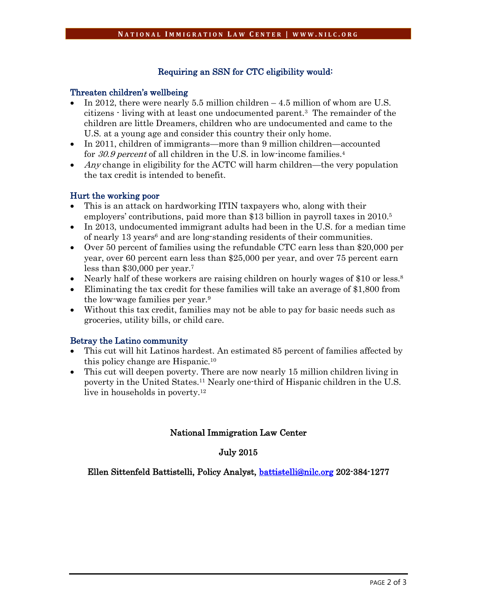# Requiring an SSN for CTC eligibility would:

#### Threaten children's wellbeing

- In 2012, there were nearly 5.5 million children  $-4.5$  million of whom are U.S. citizens - living with at least one undocumented parent.3 The remainder of the children are little Dreamers, children who are undocumented and came to the U.S. at a young age and consider this country their only home.
- In 2011, children of immigrants—more than 9 million children—accounted for 30.9 percent of all children in the U.S. in low-income families.<sup>4</sup>
- Any change in eligibility for the ACTC will harm children—the very population the tax credit is intended to benefit.

### Hurt the working poor

- x This is an attack on hardworking ITIN taxpayers who, along with their employers' contributions, paid more than \$13 billion in payroll taxes in 2010.5
- $\bullet$  In 2013, undocumented immigrant adults had been in the U.S. for a median time of nearly 13 years<sup>6</sup> and are long-standing residents of their communities.
- Over 50 percent of families using the refundable CTC earn less than \$20,000 per year, over 60 percent earn less than \$25,000 per year, and over 75 percent earn less than \$30,000 per year.7
- Nearly half of these workers are raising children on hourly wages of \$10 or less.<sup>8</sup>
- Eliminating the tax credit for these families will take an average of \$1,800 from the low-wage families per year.9
- Without this tax credit, families may not be able to pay for basic needs such as groceries, utility bills, or child care.

## Betray the Latino community

- x This cut will hit Latinos hardest. An estimated 85 percent of families affected by this policy change are Hispanic.10
- This cut will deepen poverty. There are now nearly 15 million children living in poverty in the United States.11 Nearly one-third of Hispanic children in the U.S. live in households in poverty.<sup>12</sup>

## National Immigration Law Center

## July 2015

Ellen Sittenfeld Battistelli, Policy Analyst, [battistelli@nilc.org](mailto:battistelli@nilc.org) 202-384-1277